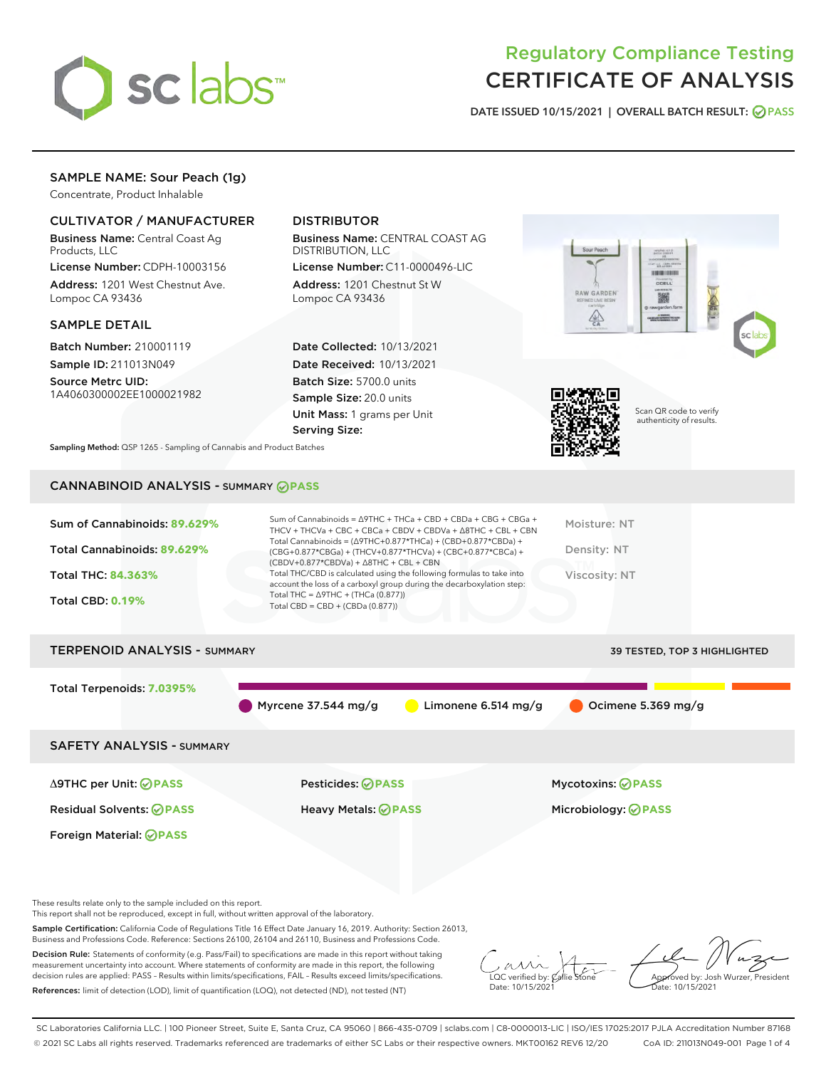

# Regulatory Compliance Testing CERTIFICATE OF ANALYSIS

DATE ISSUED 10/15/2021 | OVERALL BATCH RESULT: @ PASS

## SAMPLE NAME: Sour Peach (1g)

Concentrate, Product Inhalable

## CULTIVATOR / MANUFACTURER

Business Name: Central Coast Ag Products, LLC

License Number: CDPH-10003156 Address: 1201 West Chestnut Ave. Lompoc CA 93436

### SAMPLE DETAIL

Batch Number: 210001119 Sample ID: 211013N049

Source Metrc UID: 1A4060300002EE1000021982

## DISTRIBUTOR

Business Name: CENTRAL COAST AG DISTRIBUTION, LLC

License Number: C11-0000496-LIC Address: 1201 Chestnut St W Lompoc CA 93436

Date Collected: 10/13/2021 Date Received: 10/13/2021 Batch Size: 5700.0 units Sample Size: 20.0 units Unit Mass: 1 grams per Unit Serving Size:





Scan QR code to verify authenticity of results.

Sampling Method: QSP 1265 - Sampling of Cannabis and Product Batches

## CANNABINOID ANALYSIS - SUMMARY **PASS**

| Total THC/CBD is calculated using the following formulas to take into<br>Viscosity: NT<br>Total THC: 84.363%<br>account the loss of a carboxyl group during the decarboxylation step:<br>Total THC = $\triangle$ 9THC + (THCa (0.877))<br><b>Total CBD: 0.19%</b><br>Total CBD = $CBD + (CBDa (0.877))$ | $(CBDV+0.877*CBDVa) + \Delta 8THC + CBL + CBN$ |                              |  |
|---------------------------------------------------------------------------------------------------------------------------------------------------------------------------------------------------------------------------------------------------------------------------------------------------------|------------------------------------------------|------------------------------|--|
| <b>TERPENOID ANALYSIS - SUMMARY</b>                                                                                                                                                                                                                                                                     |                                                | 39 TESTED, TOP 3 HIGHLIGHTED |  |

Myrcene 37.544 mg/g  $\qquad \qquad$  Limonene 6.514 mg/g  $\qquad \qquad$  Ocimene 5.369 mg/g

SAFETY ANALYSIS - SUMMARY

Δ9THC per Unit: **PASS** Pesticides: **PASS** Mycotoxins: **PASS**

Foreign Material: **PASS**

Total Terpenoids: **7.0395%**

Residual Solvents: **PASS** Heavy Metals: **PASS** Microbiology: **PASS**

These results relate only to the sample included on this report.

This report shall not be reproduced, except in full, without written approval of the laboratory.

Sample Certification: California Code of Regulations Title 16 Effect Date January 16, 2019. Authority: Section 26013, Business and Professions Code. Reference: Sections 26100, 26104 and 26110, Business and Professions Code.

Decision Rule: Statements of conformity (e.g. Pass/Fail) to specifications are made in this report without taking measurement uncertainty into account. Where statements of conformity are made in this report, the following decision rules are applied: PASS – Results within limits/specifications, FAIL – Results exceed limits/specifications. References: limit of detection (LOD), limit of quantification (LOQ), not detected (ND), not tested (NT)

 $\overline{\text{LOC}}$  verified by:  $\mathcal C$ Date: 10/15/2021

Aved by: Josh Wurzer, President Date: 10/15/2021

SC Laboratories California LLC. | 100 Pioneer Street, Suite E, Santa Cruz, CA 95060 | 866-435-0709 | sclabs.com | C8-0000013-LIC | ISO/IES 17025:2017 PJLA Accreditation Number 87168 © 2021 SC Labs all rights reserved. Trademarks referenced are trademarks of either SC Labs or their respective owners. MKT00162 REV6 12/20 CoA ID: 211013N049-001 Page 1 of 4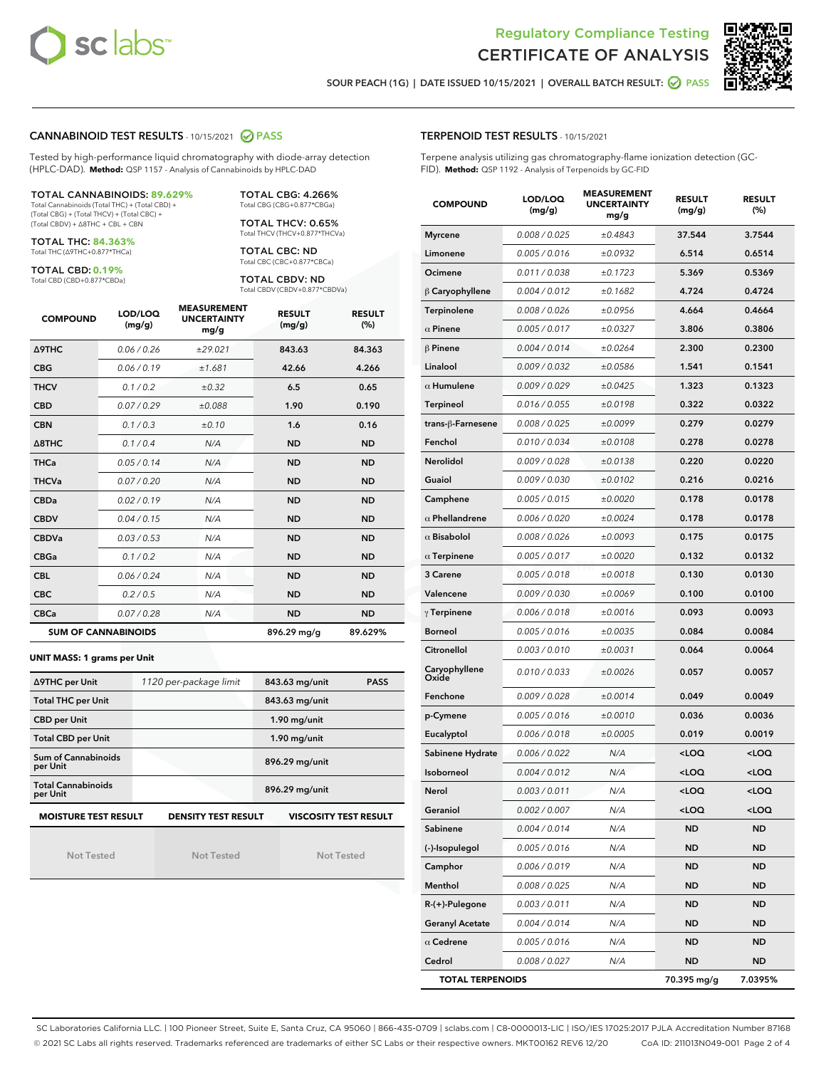



SOUR PEACH (1G) | DATE ISSUED 10/15/2021 | OVERALL BATCH RESULT: @ PASS

#### CANNABINOID TEST RESULTS - 10/15/2021 2 PASS

Tested by high-performance liquid chromatography with diode-array detection (HPLC-DAD). **Method:** QSP 1157 - Analysis of Cannabinoids by HPLC-DAD

#### TOTAL CANNABINOIDS: **89.629%**

Total Cannabinoids (Total THC) + (Total CBD) + (Total CBG) + (Total THCV) + (Total CBC) + (Total CBDV) + ∆8THC + CBL + CBN

TOTAL THC: **84.363%** Total THC (∆9THC+0.877\*THCa)

TOTAL CBD: **0.19%**

Total CBD (CBD+0.877\*CBDa)

TOTAL CBG: 4.266% Total CBG (CBG+0.877\*CBGa)

TOTAL THCV: 0.65% Total THCV (THCV+0.877\*THCVa)

TOTAL CBC: ND Total CBC (CBC+0.877\*CBCa)

TOTAL CBDV: ND Total CBDV (CBDV+0.877\*CBDVa)

| <b>COMPOUND</b>  | LOD/LOQ<br>(mg/g)          | <b>MEASUREMENT</b><br><b>UNCERTAINTY</b><br>mg/g | <b>RESULT</b><br>(mg/g) | <b>RESULT</b><br>(%) |
|------------------|----------------------------|--------------------------------------------------|-------------------------|----------------------|
| <b>A9THC</b>     | 0.06/0.26                  | ±29.021                                          | 843.63                  | 84.363               |
| <b>CBG</b>       | 0.06 / 0.19                | ±1.681                                           | 42.66                   | 4.266                |
| <b>THCV</b>      | 0.1 / 0.2                  | $\pm 0.32$                                       | 6.5                     | 0.65                 |
| <b>CBD</b>       | 0.07/0.29                  | ±0.088                                           | 1.90                    | 0.190                |
| <b>CBN</b>       | 0.1/0.3                    | ±0.10                                            | 1.6                     | 0.16                 |
| $\triangle$ 8THC | 0.1/0.4                    | N/A                                              | <b>ND</b>               | <b>ND</b>            |
| <b>THCa</b>      | 0.05/0.14                  | N/A                                              | <b>ND</b>               | <b>ND</b>            |
| <b>THCVa</b>     | 0.07/0.20                  | N/A                                              | <b>ND</b>               | <b>ND</b>            |
| <b>CBDa</b>      | 0.02/0.19                  | N/A                                              | <b>ND</b>               | <b>ND</b>            |
| <b>CBDV</b>      | 0.04/0.15                  | N/A                                              | <b>ND</b>               | <b>ND</b>            |
| <b>CBDVa</b>     | 0.03/0.53                  | N/A                                              | <b>ND</b>               | <b>ND</b>            |
| <b>CBGa</b>      | 0.1 / 0.2                  | N/A                                              | <b>ND</b>               | <b>ND</b>            |
| <b>CBL</b>       | 0.06 / 0.24                | N/A                                              | <b>ND</b>               | <b>ND</b>            |
| <b>CBC</b>       | 0.2 / 0.5                  | N/A                                              | <b>ND</b>               | <b>ND</b>            |
| <b>CBCa</b>      | 0.07/0.28                  | N/A                                              | <b>ND</b>               | <b>ND</b>            |
|                  | <b>SUM OF CANNABINOIDS</b> |                                                  | 896.29 mg/g             | 89.629%              |

**UNIT MASS: 1 grams per Unit**

| ∆9THC per Unit                                                                            | 1120 per-package limit | 843.63 mg/unit<br><b>PASS</b> |  |  |  |
|-------------------------------------------------------------------------------------------|------------------------|-------------------------------|--|--|--|
| <b>Total THC per Unit</b>                                                                 |                        | 843.63 mg/unit                |  |  |  |
| <b>CBD per Unit</b>                                                                       |                        | $1.90$ mg/unit                |  |  |  |
| <b>Total CBD per Unit</b>                                                                 |                        | $1.90$ mg/unit                |  |  |  |
| Sum of Cannabinoids<br>per Unit                                                           |                        | 896.29 mg/unit                |  |  |  |
| <b>Total Cannabinoids</b><br>per Unit                                                     |                        | 896.29 mg/unit                |  |  |  |
| <b>MOISTURE TEST RESULT</b><br><b>VISCOSITY TEST RESULT</b><br><b>DENSITY TEST RESULT</b> |                        |                               |  |  |  |

Not Tested

| <b>Not Tested</b> |  |  |  |
|-------------------|--|--|--|
|                   |  |  |  |

Not Tested

#### TERPENOID TEST RESULTS - 10/15/2021

Terpene analysis utilizing gas chromatography-flame ionization detection (GC-FID). **Method:** QSP 1192 - Analysis of Terpenoids by GC-FID

| <b>COMPOUND</b>         | LOD/LOQ<br>(mg/g) | <b>MEASUREMENT</b><br><b>UNCERTAINTY</b><br>mg/g | <b>RESULT</b><br>(mg/g)                          | <b>RESULT</b><br>(%) |
|-------------------------|-------------------|--------------------------------------------------|--------------------------------------------------|----------------------|
| <b>Myrcene</b>          | 0.008 / 0.025     | ±0.4843                                          | 37.544                                           | 3.7544               |
| Limonene                | 0.005 / 0.016     | ±0.0932                                          | 6.514                                            | 0.6514               |
| Ocimene                 | 0.011 / 0.038     | ±0.1723                                          | 5.369                                            | 0.5369               |
| $\beta$ Caryophyllene   | 0.004 / 0.012     | ±0.1682                                          | 4.724                                            | 0.4724               |
| Terpinolene             | 0.008 / 0.026     | ±0.0956                                          | 4.664                                            | 0.4664               |
| $\alpha$ Pinene         | 0.005 / 0.017     | ±0.0327                                          | 3.806                                            | 0.3806               |
| $\beta$ Pinene          | 0.004 / 0.014     | ±0.0264                                          | 2.300                                            | 0.2300               |
| Linalool                | 0.009 / 0.032     | ±0.0586                                          | 1.541                                            | 0.1541               |
| $\alpha$ Humulene       | 0.009 / 0.029     | ±0.0425                                          | 1.323                                            | 0.1323               |
| Terpineol               | 0.016 / 0.055     | ±0.0198                                          | 0.322                                            | 0.0322               |
| trans-ß-Farnesene       | 0.008 / 0.025     | ±0.0099                                          | 0.279                                            | 0.0279               |
| Fenchol                 | 0.010 / 0.034     | ±0.0108                                          | 0.278                                            | 0.0278               |
| <b>Nerolidol</b>        | 0.009 / 0.028     | ±0.0138                                          | 0.220                                            | 0.0220               |
| Guaiol                  | 0.009 / 0.030     | ±0.0102                                          | 0.216                                            | 0.0216               |
| Camphene                | 0.005 / 0.015     | ±0.0020                                          | 0.178                                            | 0.0178               |
| $\alpha$ Phellandrene   | 0.006 / 0.020     | ±0.0024                                          | 0.178                                            | 0.0178               |
| $\alpha$ Bisabolol      | 0.008 / 0.026     | ±0.0093                                          | 0.175                                            | 0.0175               |
| $\alpha$ Terpinene      | 0.005 / 0.017     | ±0.0020                                          | 0.132                                            | 0.0132               |
| 3 Carene                | 0.005 / 0.018     | ±0.0018                                          | 0.130                                            | 0.0130               |
| Valencene               | 0.009 / 0.030     | ±0.0069                                          | 0.100                                            | 0.0100               |
| $\gamma$ Terpinene      | 0.006 / 0.018     | ±0.0016                                          | 0.093                                            | 0.0093               |
| <b>Borneol</b>          | 0.005 / 0.016     | ±0.0035                                          | 0.084                                            | 0.0084               |
| Citronellol             | 0.003 / 0.010     | ±0.0031                                          | 0.064                                            | 0.0064               |
| Caryophyllene<br>Oxide  | 0.010 / 0.033     | ±0.0026                                          | 0.057                                            | 0.0057               |
| Fenchone                | 0.009 / 0.028     | ±0.0014                                          | 0.049                                            | 0.0049               |
| p-Cymene                | 0.005 / 0.016     | ±0.0010                                          | 0.036                                            | 0.0036               |
| Eucalyptol              | 0.006 / 0.018     | ±0.0005                                          | 0.019                                            | 0.0019               |
| Sabinene Hydrate        | 0.006 / 0.022     | N/A                                              | <loq< th=""><th><loq< th=""></loq<></th></loq<>  | <loq< th=""></loq<>  |
| Isoborneol              | 0.004 / 0.012     | N/A                                              | <loq< th=""><th><loq< th=""></loq<></th></loq<>  | <loq< th=""></loq<>  |
| Nerol                   | 0.003/0.011       | N/A                                              | <loq< th=""><th><math>&lt;</math>LOQ</th></loq<> | $<$ LOQ              |
| Geraniol                | 0.002 / 0.007     | N/A                                              | <loq< th=""><th><loq< th=""></loq<></th></loq<>  | <loq< th=""></loq<>  |
| Sabinene                | 0.004 / 0.014     | N/A                                              | <b>ND</b>                                        | <b>ND</b>            |
| (-)-Isopulegol          | 0.005 / 0.016     | N/A                                              | ND                                               | <b>ND</b>            |
| Camphor                 | 0.006 / 0.019     | N/A                                              | ND                                               | <b>ND</b>            |
| Menthol                 | 0.008 / 0.025     | N/A                                              | <b>ND</b>                                        | ND                   |
| $R-(+)$ -Pulegone       | 0.003 / 0.011     | N/A                                              | ND                                               | <b>ND</b>            |
| <b>Geranyl Acetate</b>  | 0.004 / 0.014     | N/A                                              | ND                                               | <b>ND</b>            |
| $\alpha$ Cedrene        | 0.005 / 0.016     | N/A                                              | ND                                               | ND                   |
| Cedrol                  | 0.008 / 0.027     | N/A                                              | ND                                               | <b>ND</b>            |
| <b>TOTAL TERPENOIDS</b> |                   |                                                  | 70.395 mg/g                                      | 7.0395%              |

SC Laboratories California LLC. | 100 Pioneer Street, Suite E, Santa Cruz, CA 95060 | 866-435-0709 | sclabs.com | C8-0000013-LIC | ISO/IES 17025:2017 PJLA Accreditation Number 87168 © 2021 SC Labs all rights reserved. Trademarks referenced are trademarks of either SC Labs or their respective owners. MKT00162 REV6 12/20 CoA ID: 211013N049-001 Page 2 of 4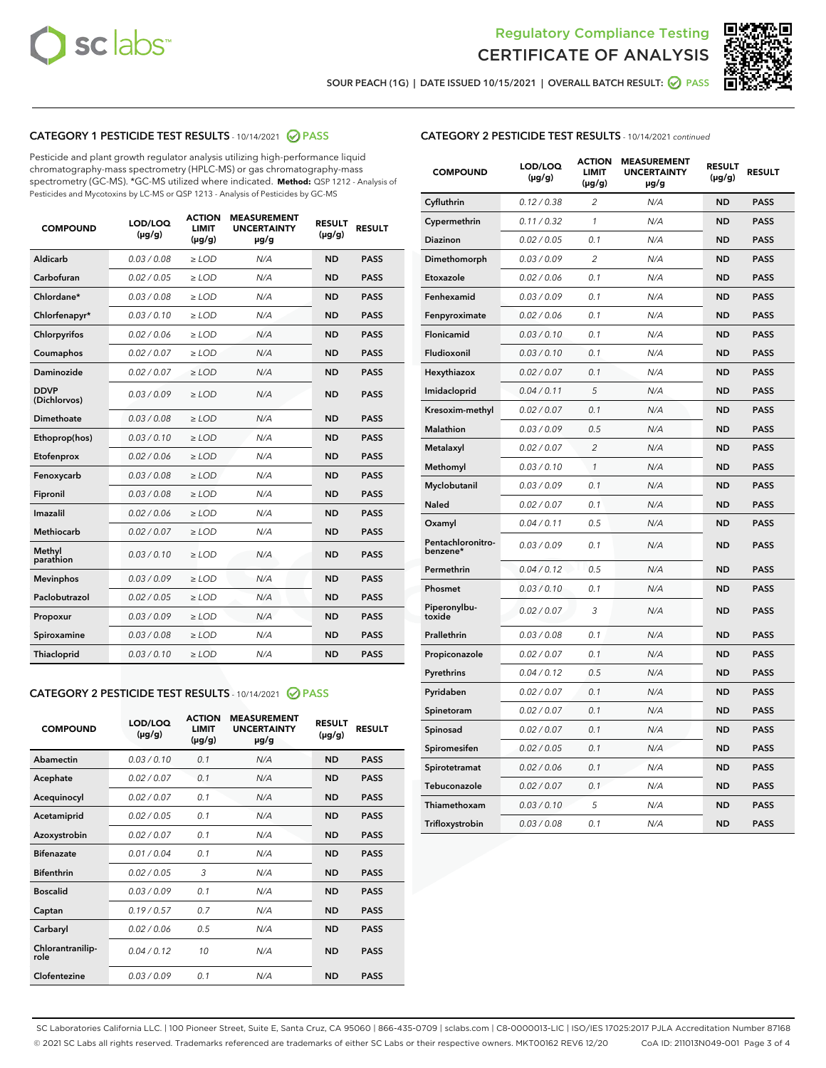



SOUR PEACH (1G) | DATE ISSUED 10/15/2021 | OVERALL BATCH RESULT:  $\bigcirc$  PASS

## CATEGORY 1 PESTICIDE TEST RESULTS - 10/14/2021 2 PASS

Pesticide and plant growth regulator analysis utilizing high-performance liquid chromatography-mass spectrometry (HPLC-MS) or gas chromatography-mass spectrometry (GC-MS). \*GC-MS utilized where indicated. **Method:** QSP 1212 - Analysis of Pesticides and Mycotoxins by LC-MS or QSP 1213 - Analysis of Pesticides by GC-MS

| <b>COMPOUND</b>             | LOD/LOQ<br>$(\mu g/g)$ | <b>ACTION</b><br><b>LIMIT</b><br>$(\mu q/q)$ | <b>MEASUREMENT</b><br><b>UNCERTAINTY</b><br>$\mu$ g/g | <b>RESULT</b><br>$(\mu g/g)$ | <b>RESULT</b> |
|-----------------------------|------------------------|----------------------------------------------|-------------------------------------------------------|------------------------------|---------------|
| Aldicarb                    | 0.03 / 0.08            | $\ge$ LOD                                    | N/A                                                   | <b>ND</b>                    | <b>PASS</b>   |
| Carbofuran                  | 0.02 / 0.05            | $\ge$ LOD                                    | N/A                                                   | <b>ND</b>                    | <b>PASS</b>   |
| Chlordane*                  | 0.03 / 0.08            | $\ge$ LOD                                    | N/A                                                   | <b>ND</b>                    | <b>PASS</b>   |
| Chlorfenapyr*               | 0.03/0.10              | $\ge$ LOD                                    | N/A                                                   | <b>ND</b>                    | <b>PASS</b>   |
| Chlorpyrifos                | 0.02 / 0.06            | $\ge$ LOD                                    | N/A                                                   | <b>ND</b>                    | <b>PASS</b>   |
| Coumaphos                   | 0.02 / 0.07            | $\ge$ LOD                                    | N/A                                                   | <b>ND</b>                    | <b>PASS</b>   |
| Daminozide                  | 0.02 / 0.07            | $\ge$ LOD                                    | N/A                                                   | <b>ND</b>                    | <b>PASS</b>   |
| <b>DDVP</b><br>(Dichlorvos) | 0.03/0.09              | $\ge$ LOD                                    | N/A                                                   | <b>ND</b>                    | <b>PASS</b>   |
| Dimethoate                  | 0.03 / 0.08            | $\ge$ LOD                                    | N/A                                                   | <b>ND</b>                    | <b>PASS</b>   |
| Ethoprop(hos)               | 0.03/0.10              | $\ge$ LOD                                    | N/A                                                   | <b>ND</b>                    | <b>PASS</b>   |
| Etofenprox                  | 0.02/0.06              | $>$ LOD                                      | N/A                                                   | <b>ND</b>                    | <b>PASS</b>   |
| Fenoxycarb                  | 0.03 / 0.08            | $\ge$ LOD                                    | N/A                                                   | <b>ND</b>                    | <b>PASS</b>   |
| Fipronil                    | 0.03/0.08              | $>$ LOD                                      | N/A                                                   | <b>ND</b>                    | <b>PASS</b>   |
| Imazalil                    | 0.02 / 0.06            | $\ge$ LOD                                    | N/A                                                   | <b>ND</b>                    | <b>PASS</b>   |
| Methiocarb                  | 0.02 / 0.07            | $\ge$ LOD                                    | N/A                                                   | <b>ND</b>                    | <b>PASS</b>   |
| Methyl<br>parathion         | 0.03/0.10              | $>$ LOD                                      | N/A                                                   | <b>ND</b>                    | <b>PASS</b>   |
| <b>Mevinphos</b>            | 0.03/0.09              | $>$ LOD                                      | N/A                                                   | <b>ND</b>                    | <b>PASS</b>   |
| Paclobutrazol               | 0.02 / 0.05            | $>$ LOD                                      | N/A                                                   | <b>ND</b>                    | <b>PASS</b>   |
| Propoxur                    | 0.03/0.09              | $\ge$ LOD                                    | N/A                                                   | <b>ND</b>                    | <b>PASS</b>   |
| Spiroxamine                 | 0.03 / 0.08            | $\ge$ LOD                                    | N/A                                                   | <b>ND</b>                    | <b>PASS</b>   |
| Thiacloprid                 | 0.03/0.10              | $\ge$ LOD                                    | N/A                                                   | <b>ND</b>                    | <b>PASS</b>   |

#### CATEGORY 2 PESTICIDE TEST RESULTS - 10/14/2021 @ PASS

| <b>COMPOUND</b>          | LOD/LOQ<br>$(\mu g/g)$ | <b>ACTION</b><br><b>LIMIT</b><br>$(\mu g/g)$ | <b>MEASUREMENT</b><br><b>UNCERTAINTY</b><br>$\mu$ g/g | <b>RESULT</b><br>$(\mu g/g)$ | <b>RESULT</b> |
|--------------------------|------------------------|----------------------------------------------|-------------------------------------------------------|------------------------------|---------------|
| Abamectin                | 0.03/0.10              | 0.1                                          | N/A                                                   | <b>ND</b>                    | <b>PASS</b>   |
| Acephate                 | 0.02/0.07              | 0.1                                          | N/A                                                   | <b>ND</b>                    | <b>PASS</b>   |
| Acequinocyl              | 0.02/0.07              | 0.1                                          | N/A                                                   | <b>ND</b>                    | <b>PASS</b>   |
| Acetamiprid              | 0.02/0.05              | 0.1                                          | N/A                                                   | <b>ND</b>                    | <b>PASS</b>   |
| Azoxystrobin             | 0.02/0.07              | 0.1                                          | N/A                                                   | <b>ND</b>                    | <b>PASS</b>   |
| <b>Bifenazate</b>        | 0.01/0.04              | 0.1                                          | N/A                                                   | <b>ND</b>                    | <b>PASS</b>   |
| <b>Bifenthrin</b>        | 0.02 / 0.05            | 3                                            | N/A                                                   | <b>ND</b>                    | <b>PASS</b>   |
| <b>Boscalid</b>          | 0.03/0.09              | 0.1                                          | N/A                                                   | <b>ND</b>                    | <b>PASS</b>   |
| Captan                   | 0.19/0.57              | 0.7                                          | N/A                                                   | <b>ND</b>                    | <b>PASS</b>   |
| Carbaryl                 | 0.02/0.06              | 0.5                                          | N/A                                                   | <b>ND</b>                    | <b>PASS</b>   |
| Chlorantranilip-<br>role | 0.04/0.12              | 10                                           | N/A                                                   | <b>ND</b>                    | <b>PASS</b>   |
| Clofentezine             | 0.03/0.09              | 0.1                                          | N/A                                                   | <b>ND</b>                    | <b>PASS</b>   |

| <b>COMPOUND</b>               | LOD/LOQ<br>(µg/g) | <b>ACTION</b><br>LIMIT<br>$(\mu g/g)$ | <b>MEASUREMENT</b><br><b>UNCERTAINTY</b><br>µg/g | <b>RESULT</b><br>(µg/g) | <b>RESULT</b> |
|-------------------------------|-------------------|---------------------------------------|--------------------------------------------------|-------------------------|---------------|
| Cyfluthrin                    | 0.12 / 0.38       | 2                                     | N/A                                              | <b>ND</b>               | <b>PASS</b>   |
| Cypermethrin                  | 0.11 / 0.32       | 1                                     | N/A                                              | <b>ND</b>               | <b>PASS</b>   |
| Diazinon                      | 0.02 / 0.05       | 0.1                                   | N/A                                              | <b>ND</b>               | <b>PASS</b>   |
| Dimethomorph                  | 0.03 / 0.09       | 2                                     | N/A                                              | <b>ND</b>               | <b>PASS</b>   |
| Etoxazole                     | 0.02 / 0.06       | 0.1                                   | N/A                                              | <b>ND</b>               | <b>PASS</b>   |
| Fenhexamid                    | 0.03 / 0.09       | 0.1                                   | N/A                                              | ND                      | <b>PASS</b>   |
| Fenpyroximate                 | 0.02 / 0.06       | 0.1                                   | N/A                                              | <b>ND</b>               | <b>PASS</b>   |
| Flonicamid                    | 0.03 / 0.10       | 0.1                                   | N/A                                              | ND                      | <b>PASS</b>   |
| Fludioxonil                   | 0.03 / 0.10       | 0.1                                   | N/A                                              | <b>ND</b>               | <b>PASS</b>   |
| Hexythiazox                   | 0.02 / 0.07       | 0.1                                   | N/A                                              | ND                      | <b>PASS</b>   |
| Imidacloprid                  | 0.04 / 0.11       | 5                                     | N/A                                              | <b>ND</b>               | <b>PASS</b>   |
| Kresoxim-methyl               | 0.02 / 0.07       | 0.1                                   | N/A                                              | <b>ND</b>               | <b>PASS</b>   |
| <b>Malathion</b>              | 0.03 / 0.09       | 0.5                                   | N/A                                              | ND                      | <b>PASS</b>   |
| Metalaxyl                     | 0.02 / 0.07       | $\overline{2}$                        | N/A                                              | <b>ND</b>               | <b>PASS</b>   |
| Methomyl                      | 0.03 / 0.10       | 1                                     | N/A                                              | <b>ND</b>               | <b>PASS</b>   |
| Myclobutanil                  | 0.03 / 0.09       | 0.1                                   | N/A                                              | ND                      | <b>PASS</b>   |
| Naled                         | 0.02 / 0.07       | 0.1                                   | N/A                                              | <b>ND</b>               | <b>PASS</b>   |
| Oxamyl                        | 0.04 / 0.11       | 0.5                                   | N/A                                              | <b>ND</b>               | <b>PASS</b>   |
| Pentachloronitro-<br>benzene* | 0.03 / 0.09       | 0.1                                   | N/A                                              | <b>ND</b>               | <b>PASS</b>   |
| Permethrin                    | 0.04 / 0.12       | 0.5                                   | N/A                                              | ND                      | <b>PASS</b>   |
| Phosmet                       | 0.03 / 0.10       | 0.1                                   | N/A                                              | <b>ND</b>               | <b>PASS</b>   |
| Piperonylbu-<br>toxide        | 0.02 / 0.07       | 3                                     | N/A                                              | <b>ND</b>               | <b>PASS</b>   |
| Prallethrin                   | 0.03 / 0.08       | 0.1                                   | N/A                                              | ND                      | <b>PASS</b>   |
| Propiconazole                 | 0.02 / 0.07       | 0.1                                   | N/A                                              | ND                      | <b>PASS</b>   |
| Pyrethrins                    | 0.04 / 0.12       | 0.5                                   | N/A                                              | ND                      | <b>PASS</b>   |
| Pyridaben                     | 0.02 / 0.07       | 0.1                                   | N/A                                              | ND                      | <b>PASS</b>   |
| Spinetoram                    | 0.02 / 0.07       | 0.1                                   | N/A                                              | ND                      | <b>PASS</b>   |
| Spinosad                      | 0.02 / 0.07       | 0.1                                   | N/A                                              | ND                      | <b>PASS</b>   |
| Spiromesifen                  | 0.02 / 0.05       | 0.1                                   | N/A                                              | ND                      | <b>PASS</b>   |
| Spirotetramat                 | 0.02 / 0.06       | 0.1                                   | N/A                                              | ND                      | <b>PASS</b>   |
| Tebuconazole                  | 0.02 / 0.07       | 0.1                                   | N/A                                              | ND                      | <b>PASS</b>   |
| Thiamethoxam                  | 0.03 / 0.10       | 5                                     | N/A                                              | ND                      | <b>PASS</b>   |
| Trifloxystrobin               | 0.03 / 0.08       | 0.1                                   | N/A                                              | ND                      | <b>PASS</b>   |

SC Laboratories California LLC. | 100 Pioneer Street, Suite E, Santa Cruz, CA 95060 | 866-435-0709 | sclabs.com | C8-0000013-LIC | ISO/IES 17025:2017 PJLA Accreditation Number 87168 © 2021 SC Labs all rights reserved. Trademarks referenced are trademarks of either SC Labs or their respective owners. MKT00162 REV6 12/20 CoA ID: 211013N049-001 Page 3 of 4